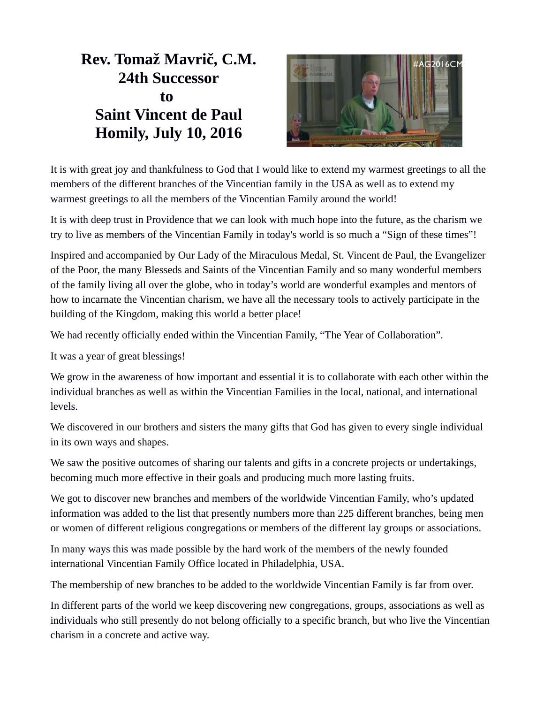## **Rev. Tomaž Mavrič, C.M. 24th Successor to Saint Vincent de Paul Homily, July 10, 2016**



It is with great joy and thankfulness to God that I would like to extend my warmest greetings to all the members of the different branches of the Vincentian family in the USA as well as to extend my warmest greetings to all the members of the Vincentian Family around the world!

It is with deep trust in Providence that we can look with much hope into the future, as the charism we try to live as members of the Vincentian Family in today's world is so much a "Sign of these times"!

Inspired and accompanied by Our Lady of the Miraculous Medal, St. Vincent de Paul, the Evangelizer of the Poor, the many Blesseds and Saints of the Vincentian Family and so many wonderful members of the family living all over the globe, who in today's world are wonderful examples and mentors of how to incarnate the Vincentian charism, we have all the necessary tools to actively participate in the building of the Kingdom, making this world a better place!

We had recently officially ended within the Vincentian Family, "The Year of Collaboration".

It was a year of great blessings!

We grow in the awareness of how important and essential it is to collaborate with each other within the individual branches as well as within the Vincentian Families in the local, national, and international levels.

We discovered in our brothers and sisters the many gifts that God has given to every single individual in its own ways and shapes.

We saw the positive outcomes of sharing our talents and gifts in a concrete projects or undertakings, becoming much more effective in their goals and producing much more lasting fruits.

We got to discover new branches and members of the worldwide Vincentian Family, who's updated information was added to the list that presently numbers more than 225 different branches, being men or women of different religious congregations or members of the different lay groups or associations.

In many ways this was made possible by the hard work of the members of the newly founded international Vincentian Family Office located in Philadelphia, USA.

The membership of new branches to be added to the worldwide Vincentian Family is far from over.

In different parts of the world we keep discovering new congregations, groups, associations as well as individuals who still presently do not belong officially to a specific branch, but who live the Vincentian charism in a concrete and active way.